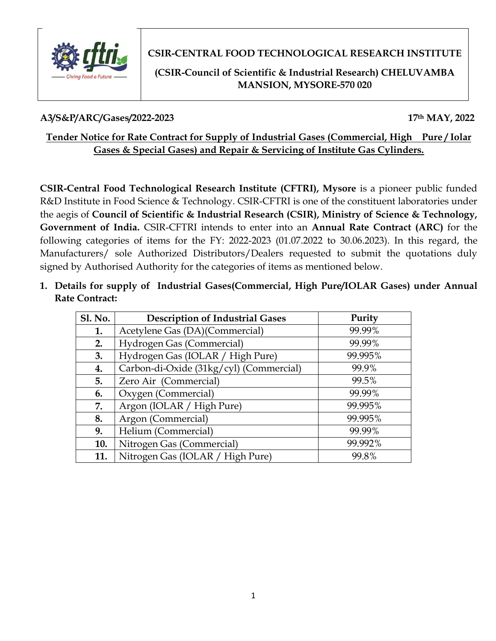

**CSIR-CENTRAL FOOD TECHNOLOGICAL RESEARCH INSTITUTE**

# **(CSIR-Council of Scientific & Industrial Research) CHELUVAMBA MANSION, MYSORE-570 020**

# **A3/S&P/ARC/Gases/2022-2023 17th MAY, 2022**

# **Tender Notice for Rate Contract for Supply of Industrial Gases (Commercial, High Pure / Iolar Gases & Special Gases) and Repair & Servicing of Institute Gas Cylinders.**

**CSIR-Central Food Technological Research Institute (CFTRI), Mysore** is a pioneer public funded R&D Institute in Food Science & Technology. CSIR-CFTRI is one of the constituent laboratories under the aegis of **Council of Scientific & Industrial Research (CSIR), Ministry of Science & Technology, Government of India.** CSIR-CFTRI intends to enter into an **Annual Rate Contract (ARC)** for the following categories of items for the FY: 2022-2023 (01.07.2022 to 30.06.2023). In this regard, the Manufacturers/ sole Authorized Distributors/Dealers requested to submit the quotations duly signed by Authorised Authority for the categories of items as mentioned below.

**1. Details for supply of Industrial Gases(Commercial, High Pure/IOLAR Gases) under Annual Rate Contract:**

| <b>Sl. No.</b> | <b>Description of Industrial Gases</b>  | Purity  |
|----------------|-----------------------------------------|---------|
| 1.             | Acetylene Gas (DA)(Commercial)          | 99.99%  |
| 2.             | Hydrogen Gas (Commercial)               | 99.99%  |
| 3.             | Hydrogen Gas (IOLAR / High Pure)        | 99.995% |
| 4.             | Carbon-di-Oxide (31kg/cyl) (Commercial) | 99.9%   |
| 5.             | Zero Air (Commercial)                   | 99.5%   |
| 6.             | Oxygen (Commercial)                     | 99.99%  |
| 7.             | Argon (IOLAR / High Pure)               | 99.995% |
| 8.             | Argon (Commercial)                      | 99.995% |
| 9.             | Helium (Commercial)                     | 99.99%  |
| 10.            | Nitrogen Gas (Commercial)               | 99.992% |
| 11.            | Nitrogen Gas (IOLAR / High Pure)        | 99.8%   |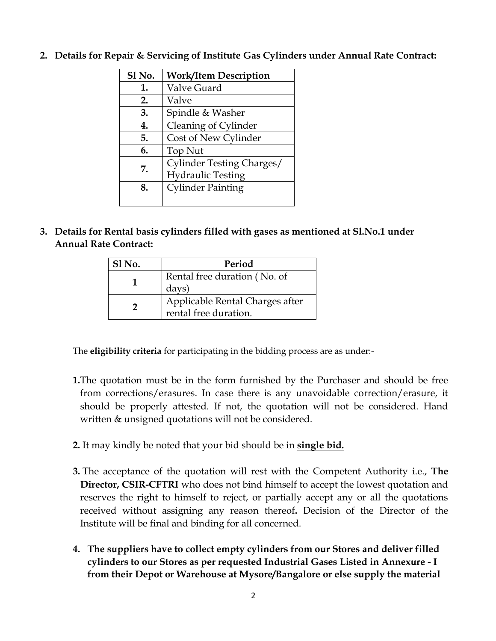| Sl No. | <b>Work/Item Description</b> |  |  |
|--------|------------------------------|--|--|
| 1.     | Valve Guard                  |  |  |
| 2.     | Valve                        |  |  |
| 3.     | Spindle & Washer             |  |  |
| 4.     | Cleaning of Cylinder         |  |  |
| 5.     | Cost of New Cylinder         |  |  |
| 6.     | Top Nut                      |  |  |
| 7.     | Cylinder Testing Charges/    |  |  |
|        | <b>Hydraulic Testing</b>     |  |  |
| 8.     | <b>Cylinder Painting</b>     |  |  |
|        |                              |  |  |

**2. Details for Repair & Servicing of Institute Gas Cylinders under Annual Rate Contract:**

**3. Details for Rental basis cylinders filled with gases as mentioned at Sl.No.1 under Annual Rate Contract:**

| Sl No. | Period                                                   |  |  |
|--------|----------------------------------------------------------|--|--|
|        | Rental free duration (No. of<br>days)                    |  |  |
| າ      | Applicable Rental Charges after<br>rental free duration. |  |  |

The **eligibility criteria** for participating in the bidding process are as under:-

- **1.**The quotation must be in the form furnished by the Purchaser and should be free from corrections/erasures. In case there is any unavoidable correction/erasure, it should be properly attested. If not, the quotation will not be considered. Hand written & unsigned quotations will not be considered.
- **2.** It may kindly be noted that your bid should be in **single bid.**
- **3.** The acceptance of the quotation will rest with the Competent Authority i.e., **The Director, CSIR-CFTRI** who does not bind himself to accept the lowest quotation and reserves the right to himself to reject, or partially accept any or all the quotations received without assigning any reason thereof**.** Decision of the Director of the Institute will be final and binding for all concerned.
- **4. The suppliers have to collect empty cylinders from our Stores and deliver filled cylinders to our Stores as per requested Industrial Gases Listed in Annexure - I from their Depot or Warehouse at Mysore/Bangalore or else supply the material**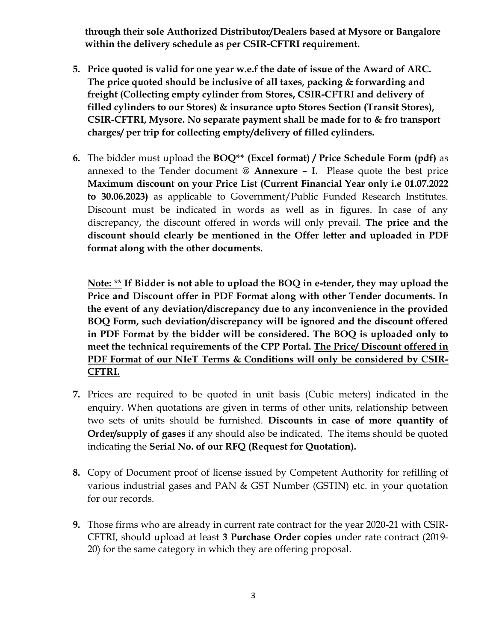**through their sole Authorized Distributor/Dealers based at Mysore or Bangalore within the delivery schedule as per CSIR-CFTRI requirement.** 

- **5. Price quoted is valid for one year w.e.f the date of issue of the Award of ARC. The price quoted should be inclusive of all taxes, packing & forwarding and freight (Collecting empty cylinder from Stores, CSIR-CFTRI and delivery of filled cylinders to our Stores) & insurance upto Stores Section (Transit Stores), CSIR-CFTRI, Mysore. No separate payment shall be made for to & fro transport charges/ per trip for collecting empty/delivery of filled cylinders.**
- **6.** The bidder must upload the **BOQ\*\* (Excel format) / Price Schedule Form (pdf)** as annexed to the Tender document @ **Annexure – I.** Please quote the best price **Maximum discount on your Price List (Current Financial Year only i.e 01.07.2022 to 30.06.2023)** as applicable to Government/Public Funded Research Institutes. Discount must be indicated in words as well as in figures. In case of any discrepancy, the discount offered in words will only prevail. **The price and the discount should clearly be mentioned in the Offer letter and uploaded in PDF format along with the other documents.**

**Note:** \*\* **If Bidder is not able to upload the BOQ in e-tender, they may upload the Price and Discount offer in PDF Format along with other Tender documents. In the event of any deviation/discrepancy due to any inconvenience in the provided BOQ Form, such deviation/discrepancy will be ignored and the discount offered in PDF Format by the bidder will be considered. The BOQ is uploaded only to meet the technical requirements of the CPP Portal. The Price/ Discount offered in PDF Format of our NIeT Terms & Conditions will only be considered by CSIR-CFTRI.**

- **7.** Prices are required to be quoted in unit basis (Cubic meters) indicated in the enquiry. When quotations are given in terms of other units, relationship between two sets of units should be furnished. **Discounts in case of more quantity of Order/supply of gases** if any should also be indicated. The items should be quoted indicating the **Serial No. of our RFQ (Request for Quotation).**
- **8.** Copy of Document proof of license issued by Competent Authority for refilling of various industrial gases and PAN & GST Number (GSTIN) etc. in your quotation for our records.
- **9.** Those firms who are already in current rate contract for the year 2020-21 with CSIR-CFTRI, should upload at least **3 Purchase Order copies** under rate contract (2019- 20) for the same category in which they are offering proposal.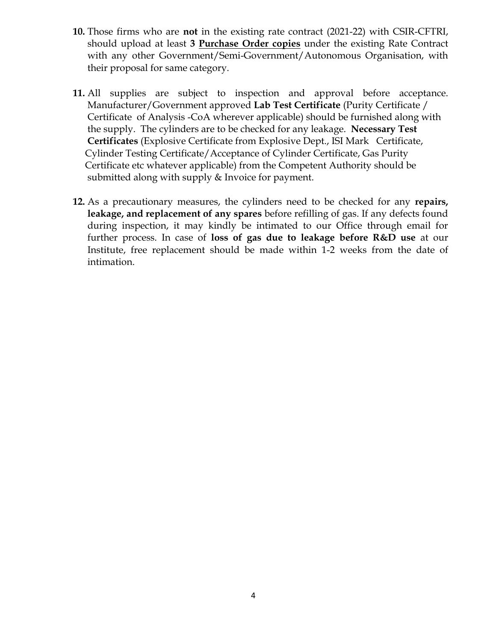- **10.** Those firms who are **not** in the existing rate contract (2021-22) with CSIR-CFTRI, should upload at least **3 Purchase Order copies** under the existing Rate Contract with any other Government/Semi-Government/Autonomous Organisation, with their proposal for same category.
- **11.** All supplies are subject to inspection and approval before acceptance. Manufacturer/Government approved **Lab Test Certificate** (Purity Certificate / Certificate of Analysis -CoA wherever applicable) should be furnished along with the supply. The cylinders are to be checked for any leakage. **Necessary Test Certificates** (Explosive Certificate from Explosive Dept., ISI Mark Certificate, Cylinder Testing Certificate/Acceptance of Cylinder Certificate, Gas Purity Certificate etc whatever applicable) from the Competent Authority should be submitted along with supply & Invoice for payment.
- **12.** As a precautionary measures, the cylinders need to be checked for any **repairs, leakage, and replacement of any spares** before refilling of gas. If any defects found during inspection, it may kindly be intimated to our Office through email for further process. In case of **loss of gas due to leakage before R&D use** at our Institute, free replacement should be made within 1-2 weeks from the date of intimation.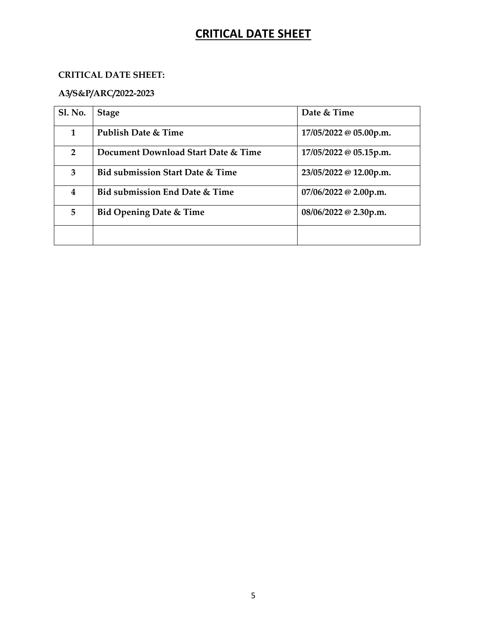# **CRITICAL DATE SHEET**

#### **CRITICAL DATE SHEET:**

## **A3/S&P/ARC/2022-2023**

| <b>Sl. No.</b> | <b>Stage</b>                                | Date & Time                     |
|----------------|---------------------------------------------|---------------------------------|
| 1              | Publish Date & Time                         | $17/05/2022 \otimes 05.00$ p.m. |
| $\overline{2}$ | Document Download Start Date & Time         | 17/05/2022 @ 05.15p.m.          |
| 3              | <b>Bid submission Start Date &amp; Time</b> | 23/05/2022 @ 12.00p.m.          |
| 4              | Bid submission End Date & Time              | 07/06/2022 @ 2.00p.m.           |
| 5              | <b>Bid Opening Date &amp; Time</b>          | $08/06/2022 \omega$ 2.30p.m.    |
|                |                                             |                                 |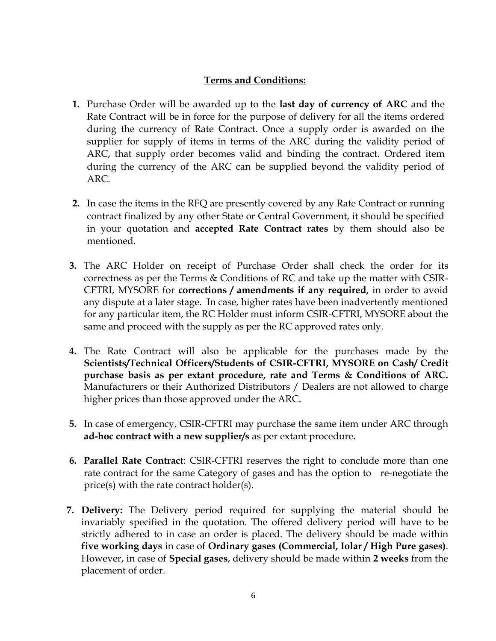### **Terms and Conditions:**

- **1.** Purchase Order will be awarded up to the **last day of currency of ARC** and the Rate Contract will be in force for the purpose of delivery for all the items ordered during the currency of Rate Contract. Once a supply order is awarded on the supplier for supply of items in terms of the ARC during the validity period of ARC, that supply order becomes valid and binding the contract. Ordered item during the currency of the ARC can be supplied beyond the validity period of ARC.
- **2.** In case the items in the RFQ are presently covered by any Rate Contract or running contract finalized by any other State or Central Government, it should be specified in your quotation and **accepted Rate Contract rates** by them should also be mentioned.
- **3.** The ARC Holder on receipt of Purchase Order shall check the order for its correctness as per the Terms & Conditions of RC and take up the matter with CSIR-CFTRI, MYSORE for **corrections / amendments if any required,** in order to avoid any dispute at a later stage. In case, higher rates have been inadvertently mentioned for any particular item, the RC Holder must inform CSIR-CFTRI, MYSORE about the same and proceed with the supply as per the RC approved rates only.
- **4.** The Rate Contract will also be applicable for the purchases made by the **Scientists/Technical Officers/Students of CSIR-CFTRI, MYSORE on Cash/ Credit purchase basis as per extant procedure, rate and Terms & Conditions of ARC.** Manufacturers or their Authorized Distributors / Dealers are not allowed to charge higher prices than those approved under the ARC.
- **5.** In case of emergency, CSIR-CFTRI may purchase the same item under ARC through **ad-hoc contract with a new supplier/s** as per extant procedure**.**
- **6. Parallel Rate Contract**: CSIR-CFTRI reserves the right to conclude more than one rate contract for the same Category of gases and has the option to re-negotiate the price(s) with the rate contract holder(s).
- **7. Delivery:** The Delivery period required for supplying the material should be invariably specified in the quotation. The offered delivery period will have to be strictly adhered to in case an order is placed. The delivery should be made within **five working days** in case of **Ordinary gases (Commercial, Iolar / High Pure gases)**. However, in case of **Special gases**, delivery should be made within **2 weeks** from the placement of order.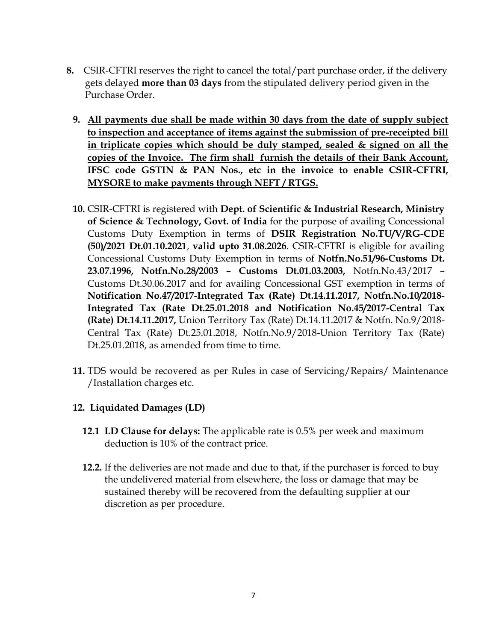- **8.** CSIR-CFTRI reserves the right to cancel the total/part purchase order, if the delivery gets delayed **more than 03 days** from the stipulated delivery period given in the Purchase Order.
	- **9. All payments due shall be made within 30 days from the date of supply subject to inspection and acceptance of items against the submission of pre-receipted bill in triplicate copies which should be duly stamped, sealed & signed on all the copies of the Invoice. The firm shall furnish the details of their Bank Account, IFSC code GSTIN & PAN Nos., etc in the invoice to enable CSIR-CFTRI, MYSORE to make payments through NEFT / RTGS.**
	- **10.** CSIR-CFTRI is registered with **Dept. of Scientific & Industrial Research, Ministry of Science & Technology, Govt. of India** for the purpose of availing Concessional Customs Duty Exemption in terms of **DSIR Registration No.TU/V/RG-CDE (50)/2021 Dt.01.10.2021**, **valid upto 31.08.2026**. CSIR-CFTRI is eligible for availing Concessional Customs Duty Exemption in terms of **Notfn.No.51/96-Customs Dt. 23.07.1996, Notfn.No.28/2003 – Customs Dt.01.03.2003,** Notfn.No.43/2017 – Customs Dt.30.06.2017 and for availing Concessional GST exemption in terms of **Notification No.47/2017-Integrated Tax (Rate) Dt.14.11.2017, Notfn.No.10/2018- Integrated Tax (Rate Dt.25.01.2018 and Notification No.45/2017-Central Tax (Rate) Dt.14.11.2017,** Union Territory Tax (Rate) Dt.14.11.2017 & Notfn. No.9/2018- Central Tax (Rate) Dt.25.01.2018, Notfn.No.9/2018-Union Territory Tax (Rate) Dt.25.01.2018, as amended from time to time.
	- **11.** TDS would be recovered as per Rules in case of Servicing/Repairs/ Maintenance /Installation charges etc.

#### **12. Liquidated Damages (LD)**

- **12.1 LD Clause for delays:** The applicable rate is 0.5% per week and maximum deduction is 10% of the contract price.
- **12.2.** If the deliveries are not made and due to that, if the purchaser is forced to buy the undelivered material from elsewhere, the loss or damage that may be sustained thereby will be recovered from the defaulting supplier at our discretion as per procedure.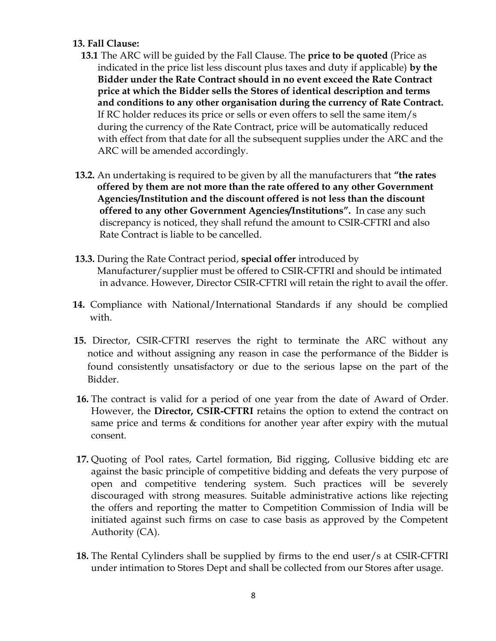#### **13. Fall Clause:**

- **13.1** The ARC will be guided by the Fall Clause. The **price to be quoted** (Price as indicated in the price list less discount plus taxes and duty if applicable) **by the Bidder under the Rate Contract should in no event exceed the Rate Contract price at which the Bidder sells the Stores of identical description and terms and conditions to any other organisation during the currency of Rate Contract.** If RC holder reduces its price or sells or even offers to sell the same item/s during the currency of the Rate Contract, price will be automatically reduced with effect from that date for all the subsequent supplies under the ARC and the ARC will be amended accordingly.
- **13.2.** An undertaking is required to be given by all the manufacturers that **"the rates offered by them are not more than the rate offered to any other Government Agencies/Institution and the discount offered is not less than the discount offered to any other Government Agencies/Institutions".** In case any such discrepancy is noticed, they shall refund the amount to CSIR-CFTRI and also Rate Contract is liable to be cancelled.
- **13.3.** During the Rate Contract period, **special offer** introduced by Manufacturer/supplier must be offered to CSIR-CFTRI and should be intimated in advance. However, Director CSIR-CFTRI will retain the right to avail the offer.
- **14.** Compliance with National/International Standards if any should be complied with.
- **15.** Director, CSIR-CFTRI reserves the right to terminate the ARC without any notice and without assigning any reason in case the performance of the Bidder is found consistently unsatisfactory or due to the serious lapse on the part of the Bidder.
- **16.** The contract is valid for a period of one year from the date of Award of Order. However, the **Director, CSIR-CFTRI** retains the option to extend the contract on same price and terms & conditions for another year after expiry with the mutual consent.
- **17.** Quoting of Pool rates, Cartel formation, Bid rigging, Collusive bidding etc are against the basic principle of competitive bidding and defeats the very purpose of open and competitive tendering system. Such practices will be severely discouraged with strong measures. Suitable administrative actions like rejecting the offers and reporting the matter to Competition Commission of India will be initiated against such firms on case to case basis as approved by the Competent Authority (CA).
- **18.** The Rental Cylinders shall be supplied by firms to the end user/s at CSIR-CFTRI under intimation to Stores Dept and shall be collected from our Stores after usage.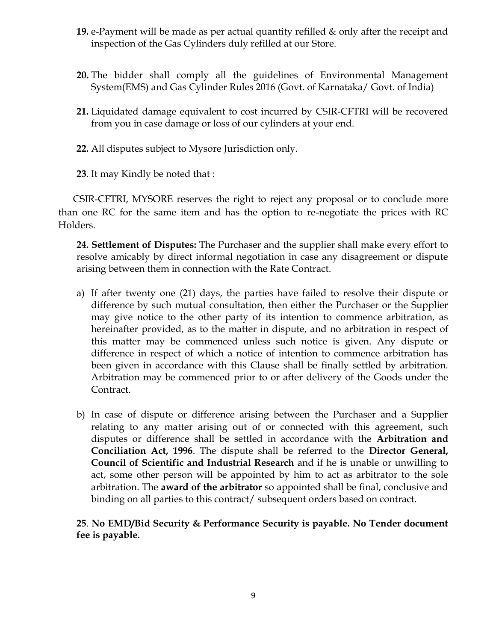- **19.** e-Payment will be made as per actual quantity refilled & only after the receipt and inspection of the Gas Cylinders duly refilled at our Store.
- **20.** The bidder shall comply all the guidelines of Environmental Management System(EMS) and Gas Cylinder Rules 2016 (Govt. of Karnataka/ Govt. of India)
- **21.** Liquidated damage equivalent to cost incurred by CSIR-CFTRI will be recovered from you in case damage or loss of our cylinders at your end.
- **22.** All disputes subject to Mysore Jurisdiction only.
- **23**. It may Kindly be noted that :

CSIR-CFTRI, MYSORE reserves the right to reject any proposal or to conclude more than one RC for the same item and has the option to re-negotiate the prices with RC Holders.

**24. Settlement of Disputes:** The Purchaser and the supplier shall make every effort to resolve amicably by direct informal negotiation in case any disagreement or dispute arising between them in connection with the Rate Contract.

- a) If after twenty one (21) days, the parties have failed to resolve their dispute or difference by such mutual consultation, then either the Purchaser or the Supplier may give notice to the other party of its intention to commence arbitration, as hereinafter provided, as to the matter in dispute, and no arbitration in respect of this matter may be commenced unless such notice is given. Any dispute or difference in respect of which a notice of intention to commence arbitration has been given in accordance with this Clause shall be finally settled by arbitration. Arbitration may be commenced prior to or after delivery of the Goods under the Contract.
- b) In case of dispute or difference arising between the Purchaser and a Supplier relating to any matter arising out of or connected with this agreement, such disputes or difference shall be settled in accordance with the **Arbitration and Conciliation Act, 1996**. The dispute shall be referred to the **Director General, Council of Scientific and Industrial Research** and if he is unable or unwilling to act, some other person will be appointed by him to act as arbitrator to the sole arbitration. The **award of the arbitrator** so appointed shall be final, conclusive and binding on all parties to this contract/ subsequent orders based on contract.

**25**. **No EMD/Bid Security & Performance Security is payable. No Tender document fee is payable.**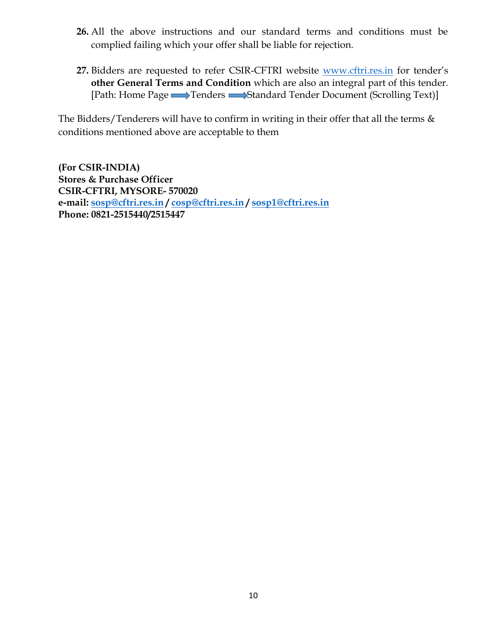- **26.** All the above instructions and our standard terms and conditions must be complied failing which your offer shall be liable for rejection.
- **27.** Bidders are requested to refer CSIR-CFTRI website [www.cftri.res.in](http://www.cftri.res.in/) for tender's **other General Terms and Condition** which are also an integral part of this tender. [Path: Home Page **Tenders Standard Tender Document** (Scrolling Text)]

The Bidders/Tenderers will have to confirm in writing in their offer that all the terms & conditions mentioned above are acceptable to them

**(For CSIR-INDIA) Stores & Purchase Officer CSIR-CFTRI, MYSORE- 570020 e-mail: [sosp@cftri.res.in](mailto:sosp@cftri.res.in) / [cosp@cftri.res.in](mailto:cosp@cftri.res.in) / [sosp1@cftri.res.in](mailto:sosp1@cftri.res.in) Phone: 0821-2515440/2515447**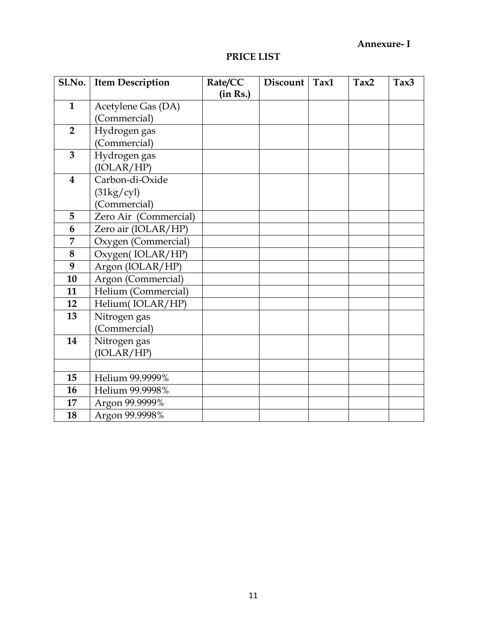## **Annexure- I**

#### **PRICE LIST**

|                         | Sl.No. Item Description | Rate/CC  | Discount | Tax1 | Tax2 | Tax3 |
|-------------------------|-------------------------|----------|----------|------|------|------|
|                         |                         | (in Rs.) |          |      |      |      |
| $\mathbf{1}$            | Acetylene Gas (DA)      |          |          |      |      |      |
|                         | (Commercial)            |          |          |      |      |      |
| $\overline{2}$          | Hydrogen gas            |          |          |      |      |      |
|                         | (Commercial)            |          |          |      |      |      |
| $\overline{3}$          | Hydrogen gas            |          |          |      |      |      |
|                         | (IOLAR/HP)              |          |          |      |      |      |
| $\overline{\mathbf{4}}$ | Carbon-di-Oxide         |          |          |      |      |      |
|                         | $(31\text{kg/cyl})$     |          |          |      |      |      |
|                         | (Commercial)            |          |          |      |      |      |
| 5                       | Zero Air (Commercial)   |          |          |      |      |      |
| 6                       | Zero air (IOLAR/HP)     |          |          |      |      |      |
| 7                       | Oxygen (Commercial)     |          |          |      |      |      |
| 8                       | Oxygen(IOLAR/HP)        |          |          |      |      |      |
| 9                       | Argon (IOLAR/HP)        |          |          |      |      |      |
| 10                      | Argon (Commercial)      |          |          |      |      |      |
| 11                      | Helium (Commercial)     |          |          |      |      |      |
| 12                      | Helium(IOLAR/HP)        |          |          |      |      |      |
| 13                      | Nitrogen gas            |          |          |      |      |      |
|                         | (Commercial)            |          |          |      |      |      |
| 14                      | Nitrogen gas            |          |          |      |      |      |
|                         | (IOLAR/HP)              |          |          |      |      |      |
|                         |                         |          |          |      |      |      |
| 15                      | Helium 99.9999%         |          |          |      |      |      |
| 16                      | Helium 99.9998%         |          |          |      |      |      |
| 17                      | Argon 99.9999%          |          |          |      |      |      |
| 18                      | Argon 99.9998%          |          |          |      |      |      |